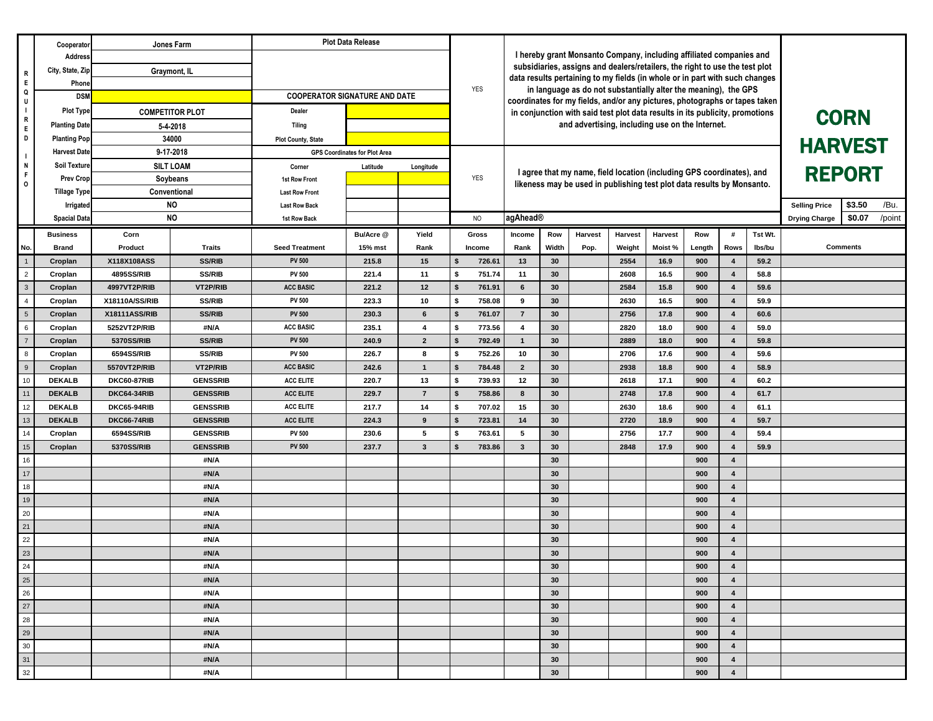|                    | Cooperator                       | Jones Farm                                  |                  | <b>Plot Data Release</b>                      |                                      |                         | <b>YES</b>                   |                                                                                                                                                                                                                                   |          |                                                                        |                |                                          |            |                              |        |                 |  |  |
|--------------------|----------------------------------|---------------------------------------------|------------------|-----------------------------------------------|--------------------------------------|-------------------------|------------------------------|-----------------------------------------------------------------------------------------------------------------------------------------------------------------------------------------------------------------------------------|----------|------------------------------------------------------------------------|----------------|------------------------------------------|------------|------------------------------|--------|-----------------|--|--|
| R                  | <b>Address</b>                   |                                             |                  |                                               |                                      |                         |                              | I hereby grant Monsanto Company, including affiliated companies and<br>subsidiaries, assigns and dealers/retailers, the right to use the test plot<br>data results pertaining to my fields (in whole or in part with such changes |          |                                                                        |                |                                          |            |                              |        |                 |  |  |
|                    | City, State, Zip                 | Graymont, IL                                |                  |                                               |                                      |                         |                              |                                                                                                                                                                                                                                   |          |                                                                        |                |                                          |            |                              |        |                 |  |  |
| $\mathsf E$<br>Q   | Phone                            |                                             |                  |                                               |                                      |                         |                              |                                                                                                                                                                                                                                   |          |                                                                        |                |                                          |            |                              |        |                 |  |  |
| U                  | <b>DSM</b>                       |                                             |                  | <b>COOPERATOR SIGNATURE AND DATE</b>          |                                      |                         |                              | in language as do not substantially alter the meaning), the GPS<br>coordinates for my fields, and/or any pictures, photographs or tapes taken                                                                                     |          |                                                                        |                |                                          |            |                              |        |                 |  |  |
| - 1<br>$\mathsf R$ | <b>Plot Type</b>                 | <b>COMPETITOR PLOT</b>                      |                  | Dealer                                        |                                      |                         |                              | in conjunction with said test plot data results in its publicity, promotions                                                                                                                                                      |          |                                                                        |                |                                          |            |                              |        | <b>CORN</b>     |  |  |
| E                  | <b>Planting Date</b>             | 5-4-2018                                    |                  | Tiling                                        |                                      |                         |                              |                                                                                                                                                                                                                                   |          | and advertising, including use on the Internet.                        |                |                                          |            |                              |        |                 |  |  |
| D                  | <b>Planting Pop</b>              | 34000                                       |                  | <b>Plot County, State</b>                     |                                      |                         |                              |                                                                                                                                                                                                                                   |          |                                                                        | <b>HARVEST</b> |                                          |            |                              |        |                 |  |  |
|                    | <b>Harvest Date</b>              |                                             | 9-17-2018        |                                               | <b>GPS Coordinates for Plot Area</b> |                         |                              |                                                                                                                                                                                                                                   |          |                                                                        |                |                                          |            |                              |        |                 |  |  |
| N<br>$\mathsf F$   | <b>Soil Texture</b>              |                                             | <b>SILT LOAM</b> | Corner                                        | Latitude                             | Longitude               |                              |                                                                                                                                                                                                                                   |          | I agree that my name, field location (including GPS coordinates), and  | <b>REPORT</b>  |                                          |            |                              |        |                 |  |  |
| $\circ$            | <b>Prev Crop</b>                 | Soybeans<br>Conventional<br><b>NO</b><br>NO |                  | 1st Row Front                                 |                                      |                         | <b>YES</b>                   |                                                                                                                                                                                                                                   |          | likeness may be used in publishing test plot data results by Monsanto. |                |                                          |            |                              |        |                 |  |  |
|                    | <b>Tillage Type</b><br>Irrigated |                                             |                  | <b>Last Row Front</b><br><b>Last Row Back</b> |                                      |                         |                              |                                                                                                                                                                                                                                   |          |                                                                        |                | /Bu.<br>\$3.50<br><b>Selling Price</b>   |            |                              |        |                 |  |  |
|                    | <b>Spacial Data</b>              |                                             |                  | 1st Row Back                                  |                                      |                         | <b>NO</b>                    | agAhead®                                                                                                                                                                                                                          |          |                                                                        |                | /point<br>\$0.07<br><b>Drying Charge</b> |            |                              |        |                 |  |  |
|                    | Corn                             |                                             |                  |                                               | Bu/Acre @                            | Yield                   | Gross                        | Tst Wt.<br>Row<br><b>Harvest</b><br>Harvest<br><b>Harvest</b><br>Row<br>Income<br>#                                                                                                                                               |          |                                                                        |                |                                          |            |                              |        |                 |  |  |
| No.                | <b>Business</b><br><b>Brand</b>  | Product                                     | <b>Traits</b>    | <b>Seed Treatment</b>                         | 15% mst                              | Rank                    | Income                       | Rank                                                                                                                                                                                                                              | Width    | Pop.                                                                   | Weight         | Moist %                                  | Length     | Rows                         | lbs/bu | <b>Comments</b> |  |  |
|                    | Croplan                          | X118X108ASS                                 | <b>SS/RIB</b>    | <b>PV 500</b>                                 | 215.8                                | 15                      | 726.61<br>Ŝ.                 | 13                                                                                                                                                                                                                                | 30       |                                                                        | 2554           | 16.9                                     | 900        | 4                            | 59.2   |                 |  |  |
| $\overline{2}$     | Croplan                          | 4895SS/RIB                                  | <b>SS/RIB</b>    | <b>PV 500</b>                                 | 221.4                                | 11                      | 751.74<br>Ŝ.                 | 11                                                                                                                                                                                                                                | 30       |                                                                        | 2608           | 16.5                                     | 900        | $\overline{\mathbf{4}}$      | 58.8   |                 |  |  |
| $\mathbf{3}$       | Croplan                          | 4997VT2P/RIB                                | VT2P/RIB         | <b>ACC BASIC</b>                              | 221.2                                | 12                      | 761.91                       | $6\phantom{1}$                                                                                                                                                                                                                    | 30       |                                                                        | 2584           | 15.8                                     | 900        | $\overline{\mathbf{4}}$      | 59.6   |                 |  |  |
| $\overline{4}$     | Croplan                          | X18110A/SS/RIB                              | <b>SS/RIB</b>    | <b>PV 500</b>                                 | 223.3                                | 10                      | 758.08<br>\$                 | 9                                                                                                                                                                                                                                 | 30       |                                                                        | 2630           | 16.5                                     | 900        | $\overline{\mathbf{4}}$      | 59.9   |                 |  |  |
| $5\overline{5}$    | Croplan                          | X18111ASS/RIB                               | <b>SS/RIB</b>    | <b>PV 500</b>                                 | 230.3                                | 6                       | 761.07<br>-\$                | $\overline{7}$                                                                                                                                                                                                                    | 30       |                                                                        | 2756           | 17.8                                     | 900        | $\overline{\mathbf{4}}$      | 60.6   |                 |  |  |
| 6                  | Croplan                          | 5252VT2P/RIB                                | #N/A             | <b>ACC BASIC</b>                              | 235.1                                | $\overline{\mathbf{4}}$ | 773.56<br>\$                 | $\overline{\mathbf{4}}$                                                                                                                                                                                                           | 30       |                                                                        | 2820           | 18.0                                     | 900        | $\overline{\mathbf{4}}$      | 59.0   |                 |  |  |
| $\overline{7}$     | Croplan                          | 5370SS/RIB                                  | <b>SS/RIB</b>    | <b>PV 500</b>                                 | 240.9                                | $\overline{2}$          | 792.49                       | $\mathbf{1}$                                                                                                                                                                                                                      | 30       |                                                                        | 2889           | 18.0                                     | 900        | $\overline{\mathbf{4}}$      | 59.8   |                 |  |  |
| 8                  | Croplan                          | 6594SS/RIB                                  | <b>SS/RIB</b>    | <b>PV 500</b>                                 | 226.7                                | 8                       | 752.26<br>\$                 | 10                                                                                                                                                                                                                                | 30       |                                                                        | 2706           | 17.6                                     | 900        | $\overline{\mathbf{4}}$      | 59.6   |                 |  |  |
| 9                  | Croplan                          | 5570VT2P/RIB                                | VT2P/RIB         | <b>ACC BASIC</b>                              | 242.6                                | $\overline{1}$          | 784.48                       | $\overline{2}$                                                                                                                                                                                                                    | 30       |                                                                        | 2938           | 18.8                                     | 900        | $\overline{\mathbf{4}}$      | 58.9   |                 |  |  |
| 10                 | <b>DEKALB</b>                    | DKC60-87RIB                                 | <b>GENSSRIB</b>  | <b>ACC ELITE</b>                              | 220.7                                | 13                      | 739.93<br>\$                 | 12                                                                                                                                                                                                                                | 30       |                                                                        | 2618           | 17.1                                     | 900        | $\overline{\mathbf{4}}$      | 60.2   |                 |  |  |
| 11                 | <b>DEKALB</b>                    | <b>DKC64-34RIB</b>                          | <b>GENSSRIB</b>  | <b>ACC ELITE</b>                              | 229.7                                | $\overline{7}$          | 758.86                       | 8                                                                                                                                                                                                                                 | 30       |                                                                        | 2748           | 17.8                                     | 900        | $\overline{\mathbf{4}}$      | 61.7   |                 |  |  |
| 12                 | <b>DEKALB</b>                    | DKC65-94RIB                                 | <b>GENSSRIB</b>  | <b>ACC ELITE</b>                              | 217.7                                | 14                      | 707.02<br>\$                 | 15                                                                                                                                                                                                                                | 30       |                                                                        | 2630           | 18.6                                     | 900        | $\overline{\mathbf{4}}$      | 61.1   |                 |  |  |
| 13                 | <b>DEKALB</b>                    | <b>DKC66-74RIB</b>                          | <b>GENSSRIB</b>  | <b>ACC ELITE</b>                              | 224.3                                | 9                       | 723.81<br>$\mathbf{\hat{S}}$ | 14                                                                                                                                                                                                                                | 30       |                                                                        | 2720           | 18.9                                     | 900        | $\overline{\mathbf{4}}$      | 59.7   |                 |  |  |
| 14                 | Croplan                          | 6594SS/RIB                                  | <b>GENSSRIB</b>  | <b>PV 500</b>                                 | 230.6                                | 5                       | 763.61<br>\$                 | 5                                                                                                                                                                                                                                 | 30       |                                                                        | 2756           | 17.7                                     | 900        | $\overline{\mathbf{4}}$      | 59.4   |                 |  |  |
| 15                 | Croplan                          | <b>5370SS/RIB</b>                           | <b>GENSSRIB</b>  | <b>PV 500</b>                                 | 237.7                                | $\mathbf{3}$            | 783.86                       | $\mathbf{3}$                                                                                                                                                                                                                      | 30       |                                                                        | 2848           | 17.9                                     | 900        | 4                            | 59.9   |                 |  |  |
| 16<br>17           |                                  |                                             | #N/A             |                                               |                                      |                         |                              |                                                                                                                                                                                                                                   | 30<br>30 |                                                                        |                |                                          | 900        | 4<br>$\overline{\mathbf{4}}$ |        |                 |  |  |
| 18                 |                                  |                                             | #N/A<br>#N/A     |                                               |                                      |                         |                              |                                                                                                                                                                                                                                   | 30       |                                                                        |                |                                          | 900<br>900 | $\overline{\mathbf{4}}$      |        |                 |  |  |
| 19                 |                                  |                                             | #N/A             |                                               |                                      |                         |                              |                                                                                                                                                                                                                                   | 30       |                                                                        |                |                                          | 900        | $\overline{\mathbf{4}}$      |        |                 |  |  |
| 20                 |                                  |                                             | #N/A             |                                               |                                      |                         |                              |                                                                                                                                                                                                                                   | 30       |                                                                        |                |                                          | 900        | 4                            |        |                 |  |  |
| 21                 |                                  |                                             | #N/A             |                                               |                                      |                         |                              |                                                                                                                                                                                                                                   | 30       |                                                                        |                |                                          | 900        | $\overline{\mathbf{4}}$      |        |                 |  |  |
| 22                 |                                  |                                             | #N/A             |                                               |                                      |                         |                              |                                                                                                                                                                                                                                   | 30       |                                                                        |                |                                          | 900        | 4                            |        |                 |  |  |
| 23                 |                                  |                                             | #N/A             |                                               |                                      |                         |                              |                                                                                                                                                                                                                                   | 30       |                                                                        |                |                                          | 900        | 4                            |        |                 |  |  |
| 24                 |                                  |                                             | #N/A             |                                               |                                      |                         |                              |                                                                                                                                                                                                                                   | 30       |                                                                        |                |                                          | 900        | 4                            |        |                 |  |  |
| 25                 |                                  |                                             | #N/A             |                                               |                                      |                         |                              |                                                                                                                                                                                                                                   | 30       |                                                                        |                |                                          | 900        | 4                            |        |                 |  |  |
| 26                 |                                  |                                             | #N/A             |                                               |                                      |                         |                              |                                                                                                                                                                                                                                   | 30       |                                                                        |                |                                          | 900        | 4                            |        |                 |  |  |
| $27$               |                                  |                                             | #N/A             |                                               |                                      |                         |                              |                                                                                                                                                                                                                                   | 30       |                                                                        |                |                                          | 900        | $\overline{4}$               |        |                 |  |  |
| 28                 |                                  |                                             | #N/A             |                                               |                                      |                         |                              |                                                                                                                                                                                                                                   | 30       |                                                                        |                |                                          | 900        | $\overline{4}$               |        |                 |  |  |
| 29                 |                                  |                                             | #N/A             |                                               |                                      |                         |                              |                                                                                                                                                                                                                                   | 30       |                                                                        |                |                                          | 900        | 4                            |        |                 |  |  |
| 30                 |                                  |                                             | #N/A             |                                               |                                      |                         |                              |                                                                                                                                                                                                                                   | 30       |                                                                        |                |                                          | 900        | $\overline{4}$               |        |                 |  |  |
| 31                 |                                  |                                             | #N/A             |                                               |                                      |                         |                              |                                                                                                                                                                                                                                   | 30       |                                                                        |                |                                          | 900        | 4                            |        |                 |  |  |
| 32                 |                                  |                                             | #N/A             |                                               |                                      |                         |                              |                                                                                                                                                                                                                                   | 30       |                                                                        |                |                                          | 900        | $\overline{\mathbf{4}}$      |        |                 |  |  |